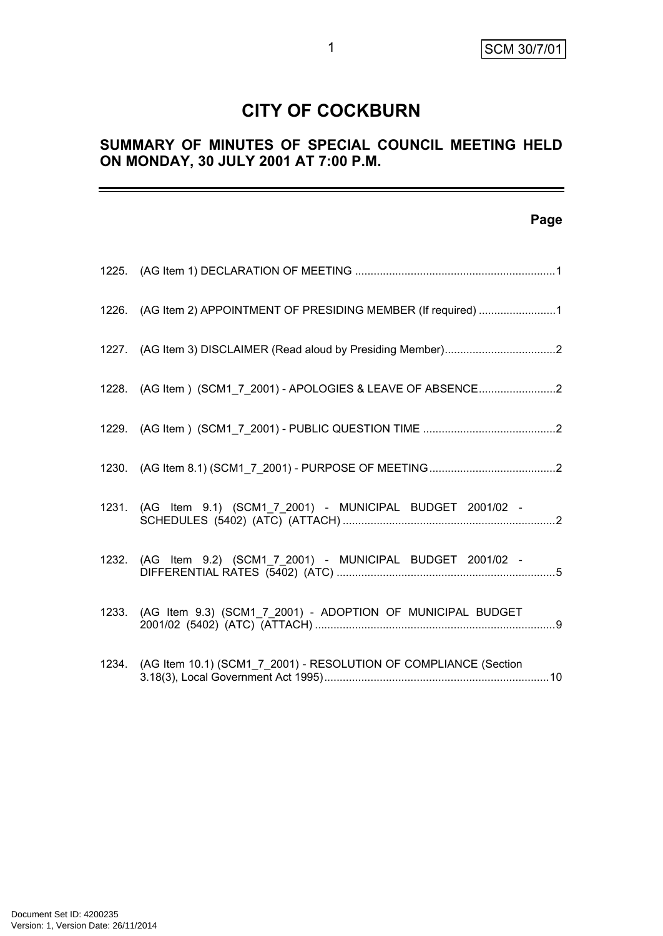# **CITY OF COCKBURN**

# **SUMMARY OF MINUTES OF SPECIAL COUNCIL MEETING HELD ON MONDAY, 30 JULY 2001 AT 7:00 P.M.**

#### **Page**

 $\equiv$ 

| 1226. (AG Item 2) APPOINTMENT OF PRESIDING MEMBER (If required) 1      |
|------------------------------------------------------------------------|
|                                                                        |
| 1228. (AG Item) (SCM1_7_2001) - APOLOGIES & LEAVE OF ABSENCE2          |
|                                                                        |
|                                                                        |
| 1231. (AG Item 9.1) (SCM1_7_2001) - MUNICIPAL BUDGET 2001/02 -         |
| 1232. (AG Item 9.2) (SCM1_7_2001) - MUNICIPAL BUDGET 2001/02 -         |
| 1233. (AG Item 9.3) (SCM1_7_2001) - ADOPTION OF MUNICIPAL BUDGET       |
| 1234. (AG Item 10.1) (SCM1_7_2001) - RESOLUTION OF COMPLIANCE (Section |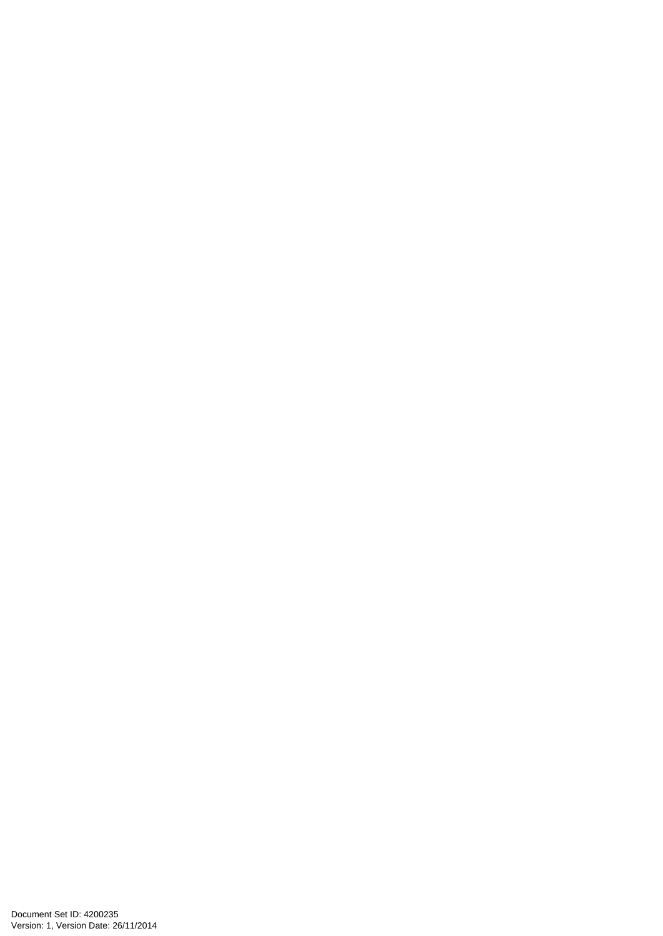Document Set ID: 4200235<br>Version: 1, Version Date: 26/11/2014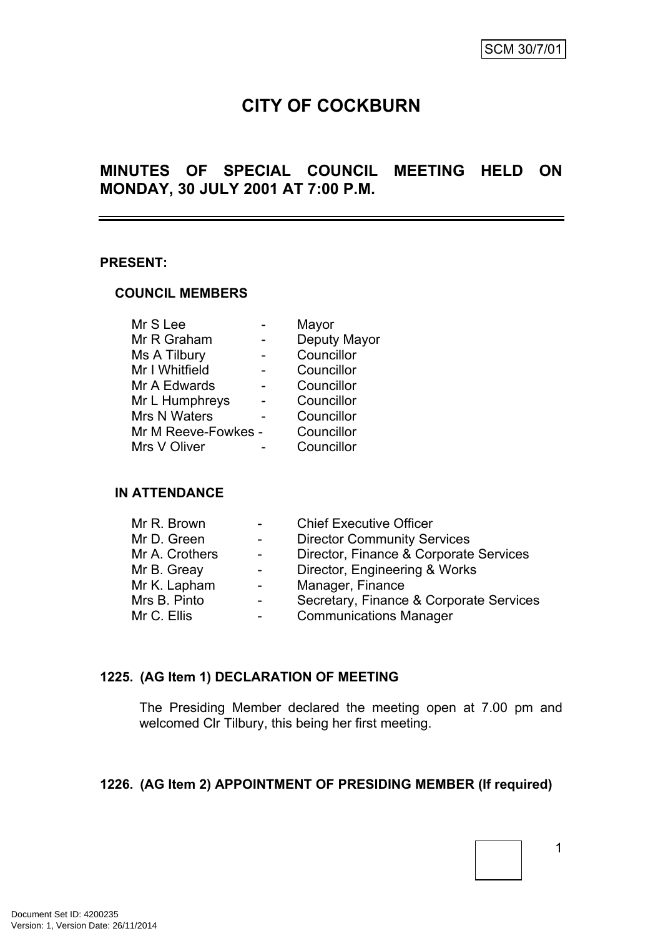# **CITY OF COCKBURN**

# **MINUTES OF SPECIAL COUNCIL MEETING HELD ON MONDAY, 30 JULY 2001 AT 7:00 P.M.**

#### **PRESENT:**

#### **COUNCIL MEMBERS**

| Mr S Lee            | Mayor        |
|---------------------|--------------|
| Mr R Graham         | Deputy Mayor |
| Ms A Tilbury        | Councillor   |
| Mr I Whitfield      | Councillor   |
| Mr A Edwards        | Councillor   |
| Mr L Humphreys      | Councillor   |
| Mrs N Waters        | Councillor   |
| Mr M Reeve-Fowkes - | Councillor   |
| Mrs V Oliver        | Councillor   |
|                     |              |

#### **IN ATTENDANCE**

| Mr R. Brown    |                 | <b>Chief Executive Officer</b>          |
|----------------|-----------------|-----------------------------------------|
| Mr D. Green    | $\sim$ 10 $\pm$ | <b>Director Community Services</b>      |
| Mr A. Crothers | $\sim$ 10 $\pm$ | Director, Finance & Corporate Services  |
| Mr B. Greay    | $\sim 100$      | Director, Engineering & Works           |
| Mr K. Lapham   | $\blacksquare$  | Manager, Finance                        |
| Mrs B. Pinto   | $\sim$ 10 $\pm$ | Secretary, Finance & Corporate Services |
| Mr C. Ellis    |                 | <b>Communications Manager</b>           |

# <span id="page-2-0"></span>**1225. (AG Item 1) DECLARATION OF MEETING**

The Presiding Member declared the meeting open at 7.00 pm and welcomed Clr Tilbury, this being her first meeting.

# <span id="page-2-1"></span>**1226. (AG Item 2) APPOINTMENT OF PRESIDING MEMBER (If required)**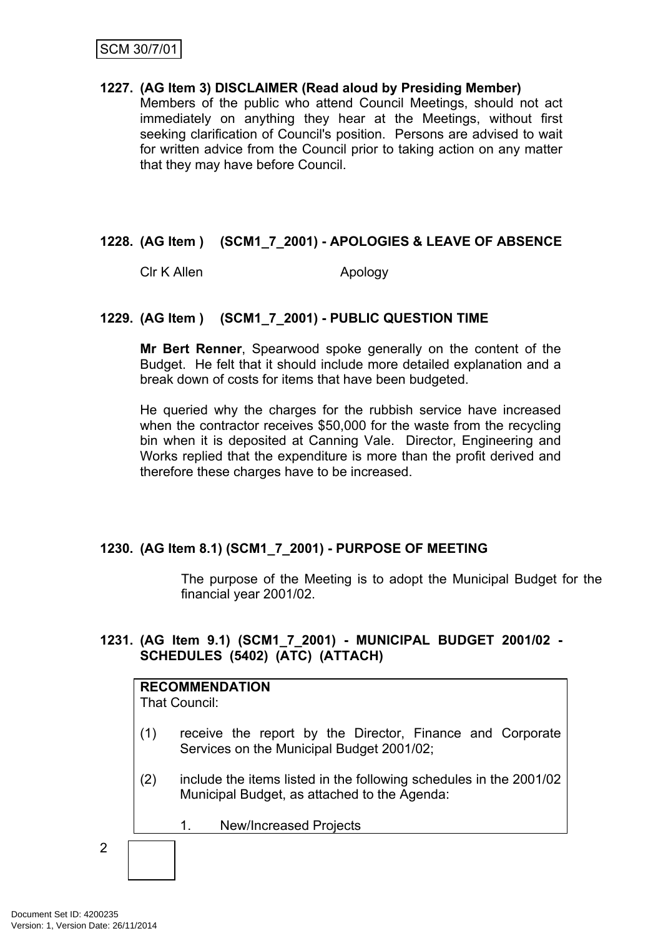#### <span id="page-3-0"></span>**1227. (AG Item 3) DISCLAIMER (Read aloud by Presiding Member)**

Members of the public who attend Council Meetings, should not act immediately on anything they hear at the Meetings, without first seeking clarification of Council's position. Persons are advised to wait for written advice from the Council prior to taking action on any matter that they may have before Council.

#### <span id="page-3-1"></span>**1228. (AG Item ) (SCM1\_7\_2001) - APOLOGIES & LEAVE OF ABSENCE**

Clr K Allen Apology

# <span id="page-3-2"></span>**1229. (AG Item ) (SCM1\_7\_2001) - PUBLIC QUESTION TIME**

**Mr Bert Renner**, Spearwood spoke generally on the content of the Budget. He felt that it should include more detailed explanation and a break down of costs for items that have been budgeted.

He queried why the charges for the rubbish service have increased when the contractor receives \$50,000 for the waste from the recycling bin when it is deposited at Canning Vale. Director, Engineering and Works replied that the expenditure is more than the profit derived and therefore these charges have to be increased.

#### <span id="page-3-3"></span>**1230. (AG Item 8.1) (SCM1\_7\_2001) - PURPOSE OF MEETING**

The purpose of the Meeting is to adopt the Municipal Budget for the financial year 2001/02.

#### <span id="page-3-4"></span>**1231. (AG Item 9.1) (SCM1\_7\_2001) - MUNICIPAL BUDGET 2001/02 - SCHEDULES (5402) (ATC) (ATTACH)**

# **RECOMMENDATION** That Council: (1) receive the report by the Director, Finance and Corporate Services on the Municipal Budget 2001/02; (2) include the items listed in the following schedules in the 2001/02 Municipal Budget, as attached to the Agenda: 1. New/Increased Projects

2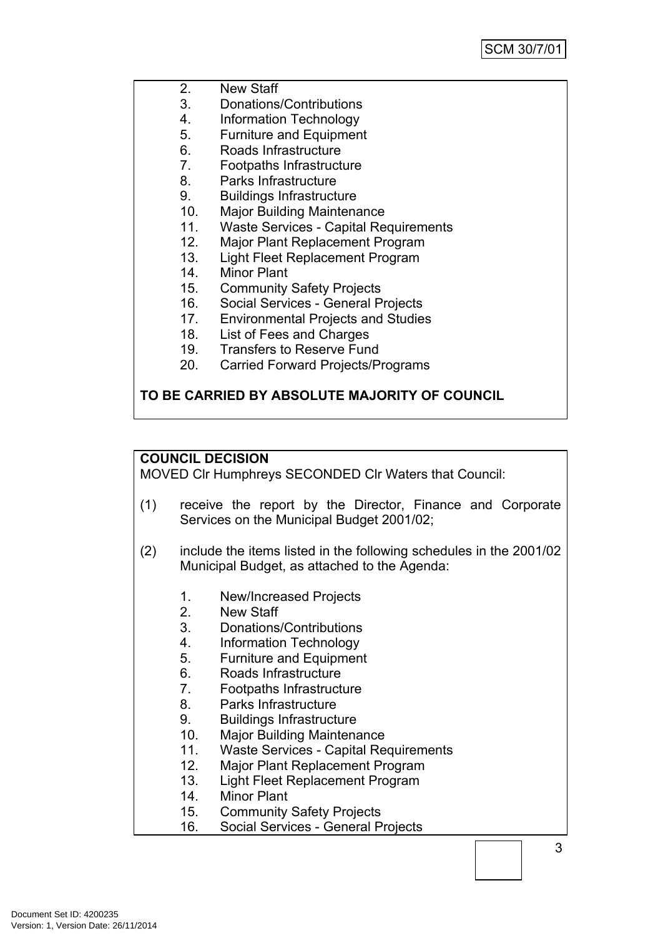- 2. New Staff
- 3. Donations/Contributions
- 4. Information Technology
- 5. Furniture and Equipment
- 6. Roads Infrastructure
- 7. Footpaths Infrastructure
- 8. Parks Infrastructure
- 9. Buildings Infrastructure
- 10. Major Building Maintenance
- 11. Waste Services Capital Requirements
- 12. Major Plant Replacement Program
- 13. Light Fleet Replacement Program
- 14. Minor Plant
- 15. Community Safety Projects
- 16. Social Services General Projects
- 17. Environmental Projects and Studies
- 18. List of Fees and Charges
- 19. Transfers to Reserve Fund
- 20. Carried Forward Projects/Programs

# **TO BE CARRIED BY ABSOLUTE MAJORITY OF COUNCIL**

# **COUNCIL DECISION**

MOVED Clr Humphreys SECONDED Clr Waters that Council:

- (1) receive the report by the Director, Finance and Corporate Services on the Municipal Budget 2001/02;
- (2) include the items listed in the following schedules in the 2001/02 Municipal Budget, as attached to the Agenda:
	- 1. New/Increased Projects
	- 2. New Staff
	- 3. Donations/Contributions
	- 4. Information Technology
	- 5. Furniture and Equipment
	- 6. Roads Infrastructure
	- 7. Footpaths Infrastructure
	- 8. Parks Infrastructure
	- 9. Buildings Infrastructure
	- 10. Major Building Maintenance
	- 11. Waste Services Capital Requirements
	- 12. Major Plant Replacement Program
	- 13. Light Fleet Replacement Program
	- 14. Minor Plant
	- 15. Community Safety Projects
	- 16. Social Services General Projects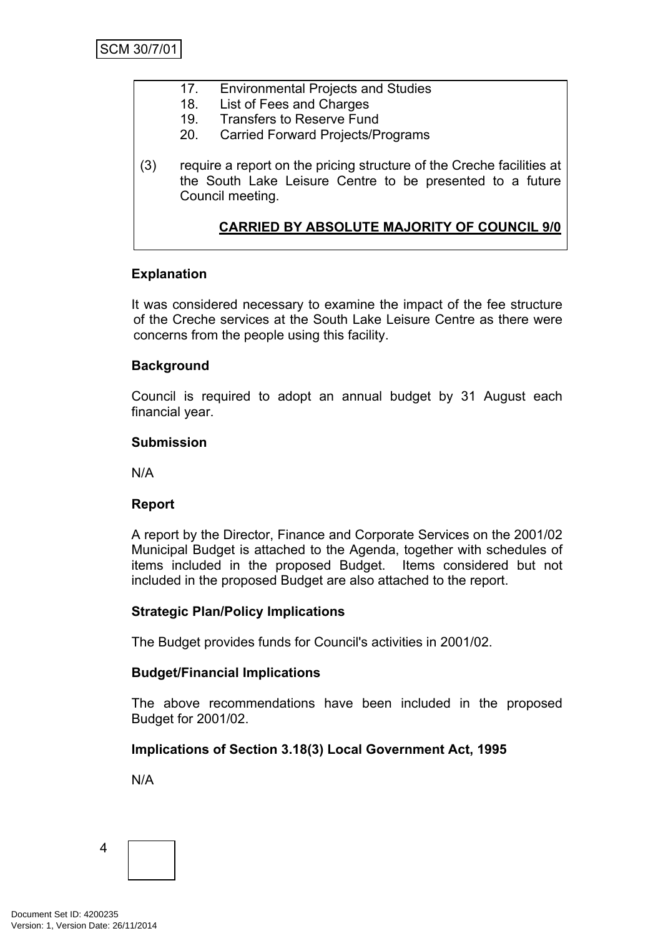- 17. Environmental Projects and Studies
- 18. List of Fees and Charges
- 19. Transfers to Reserve Fund
- 20. Carried Forward Projects/Programs
- (3) require a report on the pricing structure of the Creche facilities at the South Lake Leisure Centre to be presented to a future Council meeting.

# **CARRIED BY ABSOLUTE MAJORITY OF COUNCIL 9/0**

# **Explanation**

It was considered necessary to examine the impact of the fee structure of the Creche services at the South Lake Leisure Centre as there were concerns from the people using this facility.

#### **Background**

Council is required to adopt an annual budget by 31 August each financial year.

#### **Submission**

N/A

#### **Report**

A report by the Director, Finance and Corporate Services on the 2001/02 Municipal Budget is attached to the Agenda, together with schedules of items included in the proposed Budget. Items considered but not included in the proposed Budget are also attached to the report.

# **Strategic Plan/Policy Implications**

The Budget provides funds for Council's activities in 2001/02.

#### **Budget/Financial Implications**

The above recommendations have been included in the proposed Budget for 2001/02.

# **Implications of Section 3.18(3) Local Government Act, 1995**

N/A

4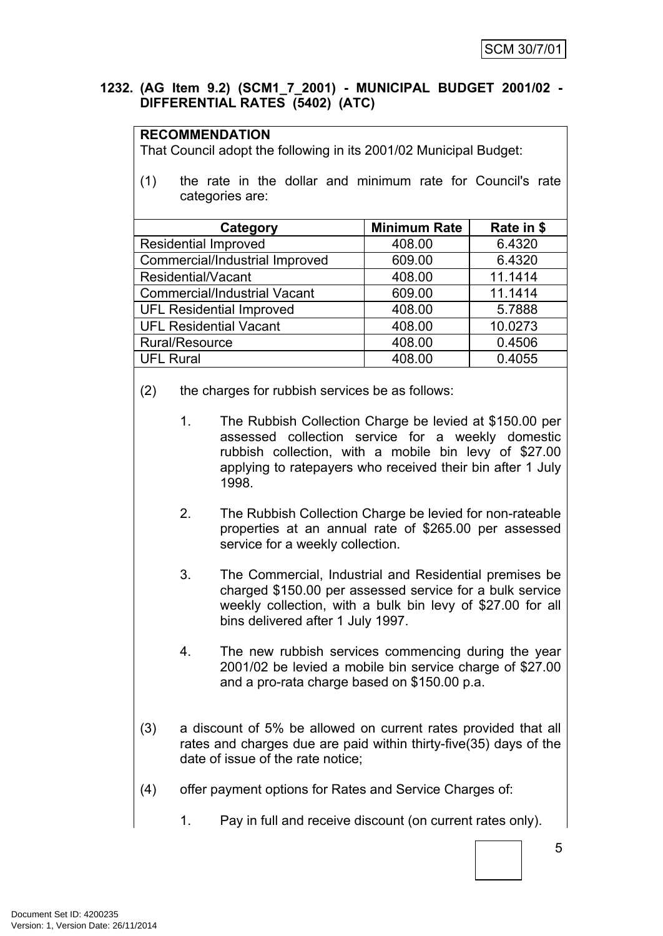## <span id="page-6-0"></span>**1232. (AG Item 9.2) (SCM1\_7\_2001) - MUNICIPAL BUDGET 2001/02 - DIFFERENTIAL RATES (5402) (ATC)**

## **RECOMMENDATION**

That Council adopt the following in its 2001/02 Municipal Budget:

(1) the rate in the dollar and minimum rate for Council's rate categories are:

| Category                            | <b>Minimum Rate</b> | Rate in \$ |
|-------------------------------------|---------------------|------------|
| <b>Residential Improved</b>         | 408.00              | 6.4320     |
| Commercial/Industrial Improved      | 609.00              | 6.4320     |
| Residential/Vacant                  | 408.00              | 11.1414    |
| <b>Commercial/Industrial Vacant</b> | 609.00              | 11.1414    |
| <b>UFL Residential Improved</b>     | 408.00              | 5.7888     |
| <b>UFL Residential Vacant</b>       | 408.00              | 10.0273    |
| Rural/Resource                      | 408.00              | 0.4506     |
| <b>UFL Rural</b>                    | 408.00              | 0.4055     |

- (2) the charges for rubbish services be as follows:
	- 1. The Rubbish Collection Charge be levied at \$150.00 per assessed collection service for a weekly domestic rubbish collection, with a mobile bin levy of \$27.00 applying to ratepayers who received their bin after 1 July 1998.
	- 2. The Rubbish Collection Charge be levied for non-rateable properties at an annual rate of \$265.00 per assessed service for a weekly collection.
	- 3. The Commercial, Industrial and Residential premises be charged \$150.00 per assessed service for a bulk service weekly collection, with a bulk bin levy of \$27.00 for all bins delivered after 1 July 1997.
	- 4. The new rubbish services commencing during the year 2001/02 be levied a mobile bin service charge of \$27.00 and a pro-rata charge based on \$150.00 p.a.
- (3) a discount of 5% be allowed on current rates provided that all rates and charges due are paid within thirty-five(35) days of the date of issue of the rate notice;
- (4) offer payment options for Rates and Service Charges of:
	- 1. Pay in full and receive discount (on current rates only).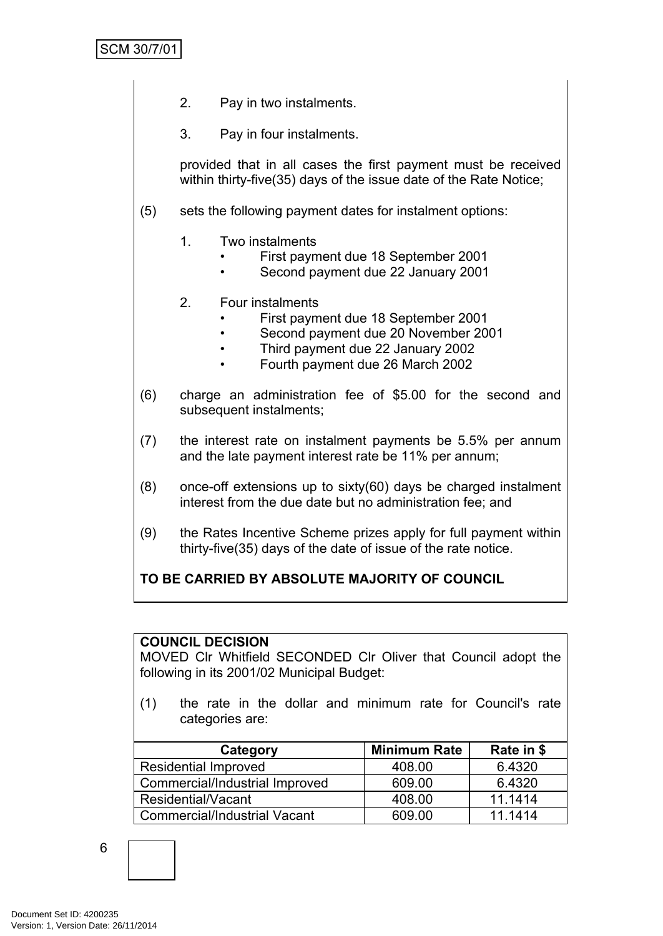- 2. Pay in two instalments.
- 3. Pay in four instalments.

provided that in all cases the first payment must be received within thirty-five(35) days of the issue date of the Rate Notice;

- (5) sets the following payment dates for instalment options:
	- 1. Two instalments
		- First payment due 18 September 2001
		- Second payment due 22 January 2001
	- 2. Four instalments
		- First payment due 18 September 2001
		- Second payment due 20 November 2001
		- Third payment due 22 January 2002
		- Fourth payment due 26 March 2002
- (6) charge an administration fee of \$5.00 for the second and subsequent instalments;
- (7) the interest rate on instalment payments be 5.5% per annum and the late payment interest rate be 11% per annum;
- (8) once-off extensions up to sixty(60) days be charged instalment interest from the due date but no administration fee; and
- (9) the Rates Incentive Scheme prizes apply for full payment within thirty-five(35) days of the date of issue of the rate notice.

# **TO BE CARRIED BY ABSOLUTE MAJORITY OF COUNCIL**

# **COUNCIL DECISION**

MOVED Clr Whitfield SECONDED Clr Oliver that Council adopt the following in its 2001/02 Municipal Budget:

(1) the rate in the dollar and minimum rate for Council's rate categories are:

| Category                            | <b>Minimum Rate</b> | Rate in \$ |
|-------------------------------------|---------------------|------------|
| <b>Residential Improved</b>         | 408.00              | 6.4320     |
| Commercial/Industrial Improved      | 609.00              | 6.4320     |
| Residential/Vacant                  | 408.00              | 11.1414    |
| <b>Commercial/Industrial Vacant</b> | 609.00              | 11.1414    |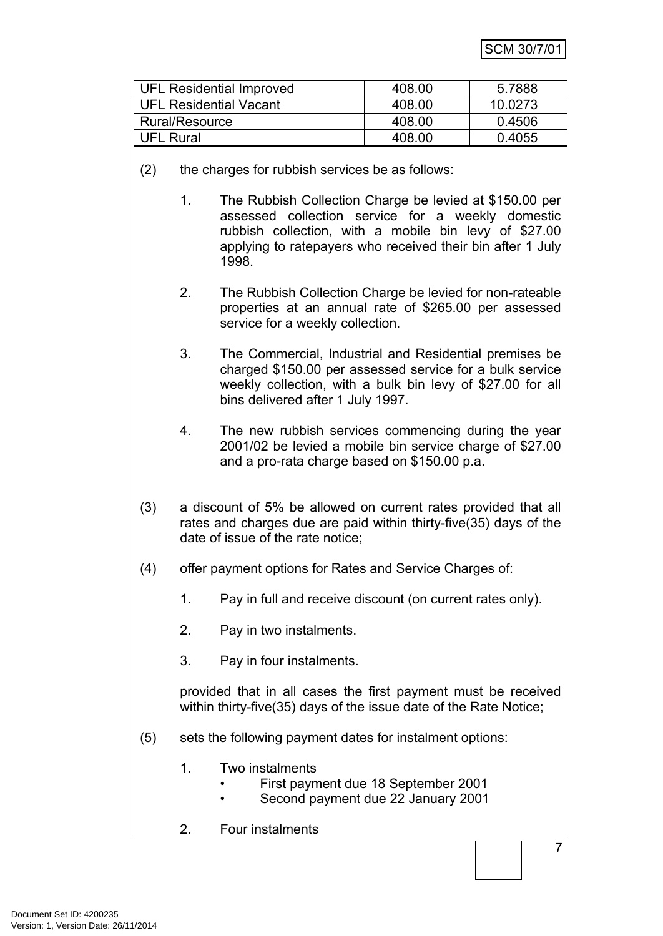SCM 30/7/01

| <b>UFL Residential Improved</b> | 408.00 | 5.7888  |
|---------------------------------|--------|---------|
| <b>UFL Residential Vacant</b>   | 408.00 | 10 0273 |
| Rural/Resource                  | 408.00 | 0.4506  |
| <b>UFL Rural</b>                | 408.00 | 0.4055  |

- (2) the charges for rubbish services be as follows:
	- 1. The Rubbish Collection Charge be levied at \$150.00 per assessed collection service for a weekly domestic rubbish collection, with a mobile bin levy of \$27.00 applying to ratepayers who received their bin after 1 July 1998.
	- 2. The Rubbish Collection Charge be levied for non-rateable properties at an annual rate of \$265.00 per assessed service for a weekly collection.
	- 3. The Commercial, Industrial and Residential premises be charged \$150.00 per assessed service for a bulk service weekly collection, with a bulk bin levy of \$27.00 for all bins delivered after 1 July 1997.
	- 4. The new rubbish services commencing during the year 2001/02 be levied a mobile bin service charge of \$27.00 and a pro-rata charge based on \$150.00 p.a.
- (3) a discount of 5% be allowed on current rates provided that all rates and charges due are paid within thirty-five(35) days of the date of issue of the rate notice;
- (4) offer payment options for Rates and Service Charges of:
	- 1. Pay in full and receive discount (on current rates only).
	- 2. Pay in two instalments.
	- 3. Pay in four instalments.

provided that in all cases the first payment must be received within thirty-five(35) days of the issue date of the Rate Notice;

- (5) sets the following payment dates for instalment options:
	- 1. Two instalments
		- First payment due 18 September 2001
		- Second payment due 22 January 2001
	- 2. Four instalments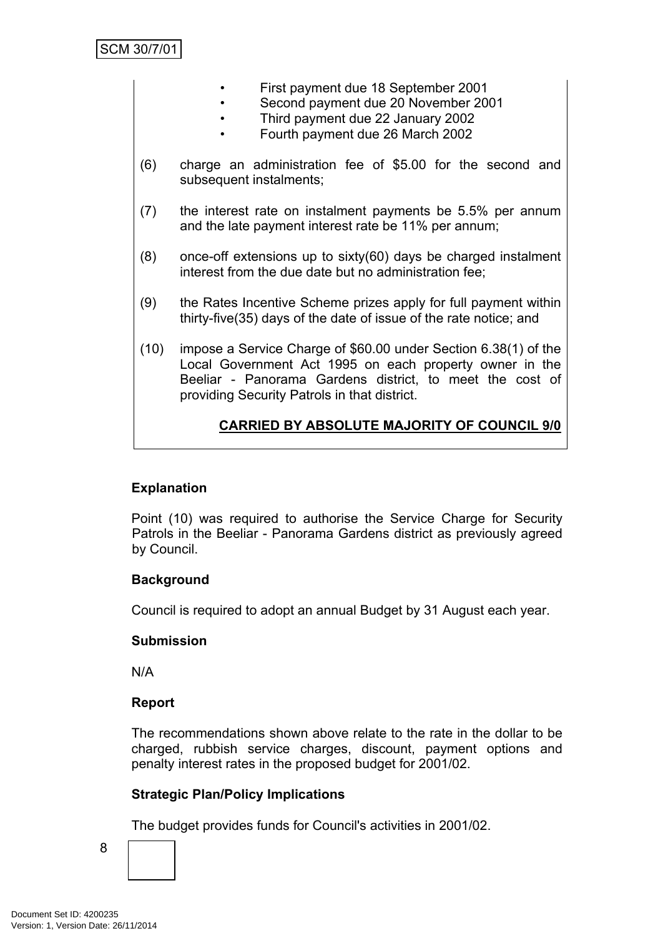- First payment due 18 September 2001
- Second payment due 20 November 2001
- Third payment due 22 January 2002
- Fourth payment due 26 March 2002
- (6) charge an administration fee of \$5.00 for the second and subsequent instalments;
- (7) the interest rate on instalment payments be 5.5% per annum and the late payment interest rate be 11% per annum;
- (8) once-off extensions up to sixty(60) days be charged instalment interest from the due date but no administration fee;
- (9) the Rates Incentive Scheme prizes apply for full payment within thirty-five(35) days of the date of issue of the rate notice; and
- (10) impose a Service Charge of \$60.00 under Section 6.38(1) of the Local Government Act 1995 on each property owner in the Beeliar - Panorama Gardens district, to meet the cost of providing Security Patrols in that district.

# **CARRIED BY ABSOLUTE MAJORITY OF COUNCIL 9/0**

# **Explanation**

Point (10) was required to authorise the Service Charge for Security Patrols in the Beeliar - Panorama Gardens district as previously agreed by Council.

#### **Background**

Council is required to adopt an annual Budget by 31 August each year.

#### **Submission**

N/A

#### **Report**

The recommendations shown above relate to the rate in the dollar to be charged, rubbish service charges, discount, payment options and penalty interest rates in the proposed budget for 2001/02.

# **Strategic Plan/Policy Implications**

The budget provides funds for Council's activities in 2001/02.

8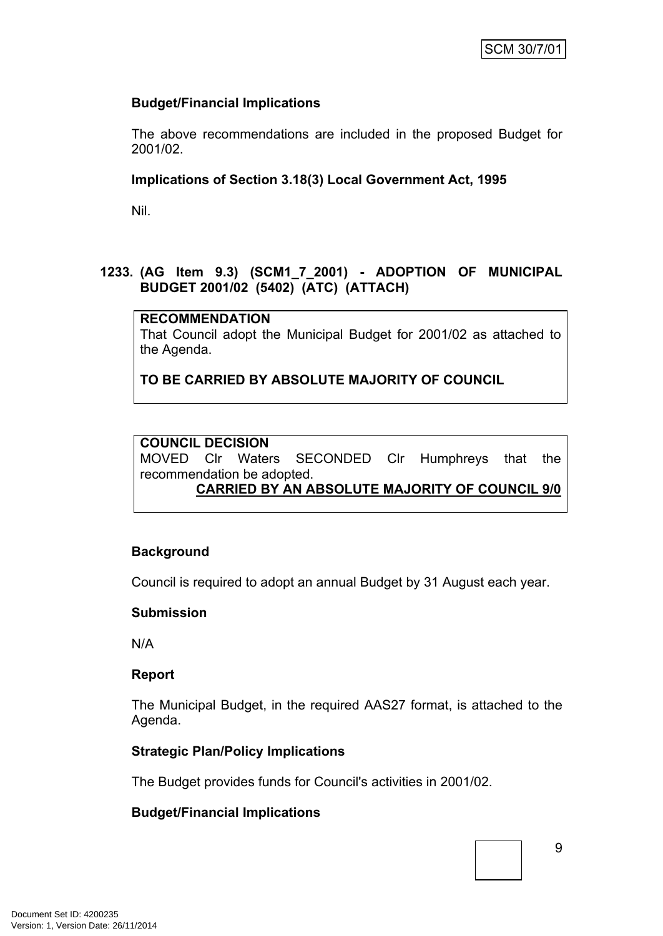# **Budget/Financial Implications**

The above recommendations are included in the proposed Budget for 2001/02.

#### **Implications of Section 3.18(3) Local Government Act, 1995**

Nil.

## <span id="page-10-0"></span>**1233. (AG Item 9.3) (SCM1\_7\_2001) - ADOPTION OF MUNICIPAL BUDGET 2001/02 (5402) (ATC) (ATTACH)**

#### **RECOMMENDATION**

That Council adopt the Municipal Budget for 2001/02 as attached to the Agenda.

**TO BE CARRIED BY ABSOLUTE MAJORITY OF COUNCIL**

#### **COUNCIL DECISION**

MOVED Clr Waters SECONDED Clr Humphreys that the recommendation be adopted.

**CARRIED BY AN ABSOLUTE MAJORITY OF COUNCIL 9/0**

#### **Background**

Council is required to adopt an annual Budget by 31 August each year.

#### **Submission**

N/A

#### **Report**

The Municipal Budget, in the required AAS27 format, is attached to the Agenda.

# **Strategic Plan/Policy Implications**

The Budget provides funds for Council's activities in 2001/02.

# **Budget/Financial Implications**

Document Set ID: 4200235<br>Version: 1, Version Date: 26/11/2014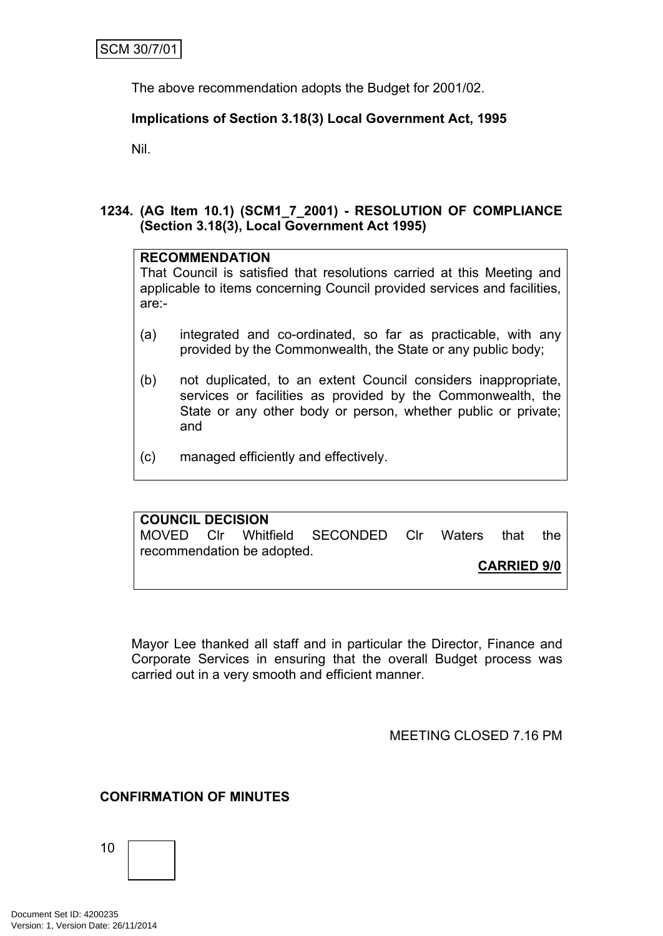The above recommendation adopts the Budget for 2001/02.

**Implications of Section 3.18(3) Local Government Act, 1995**

Nil.

<span id="page-11-0"></span>**1234. (AG Item 10.1) (SCM1\_7\_2001) - RESOLUTION OF COMPLIANCE (Section 3.18(3), Local Government Act 1995)**

**RECOMMENDATION** That Council is satisfied that resolutions carried at this Meeting and applicable to items concerning Council provided services and facilities, are:-

- (a) integrated and co-ordinated, so far as practicable, with any provided by the Commonwealth, the State or any public body;
- (b) not duplicated, to an extent Council considers inappropriate, services or facilities as provided by the Commonwealth, the State or any other body or person, whether public or private; and
- (c) managed efficiently and effectively.

**COUNCIL DECISION** MOVED Clr Whitfield SECONDED Clr Waters that the recommendation be adopted.

**CARRIED 9/0**

Mayor Lee thanked all staff and in particular the Director, Finance and Corporate Services in ensuring that the overall Budget process was carried out in a very smooth and efficient manner.

MEETING CLOSED 7.16 PM

# **CONFIRMATION OF MINUTES**